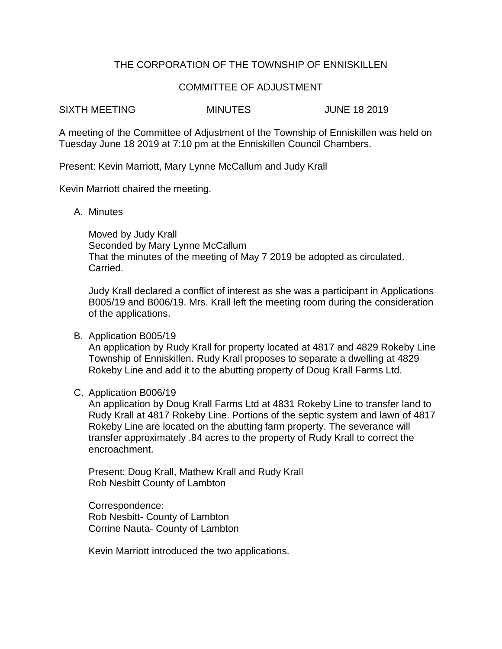# THE CORPORATION OF THE TOWNSHIP OF ENNISKILLEN

## COMMITTEE OF ADJUSTMENT

SIXTH MEETING MINUTES JUNE 18 2019

A meeting of the Committee of Adjustment of the Township of Enniskillen was held on Tuesday June 18 2019 at 7:10 pm at the Enniskillen Council Chambers.

Present: Kevin Marriott, Mary Lynne McCallum and Judy Krall

Kevin Marriott chaired the meeting.

A. Minutes

Moved by Judy Krall Seconded by Mary Lynne McCallum That the minutes of the meeting of May 7 2019 be adopted as circulated. Carried.

Judy Krall declared a conflict of interest as she was a participant in Applications B005/19 and B006/19. Mrs. Krall left the meeting room during the consideration of the applications.

B. Application B005/19

An application by Rudy Krall for property located at 4817 and 4829 Rokeby Line Township of Enniskillen. Rudy Krall proposes to separate a dwelling at 4829 Rokeby Line and add it to the abutting property of Doug Krall Farms Ltd.

## C. Application B006/19

An application by Doug Krall Farms Ltd at 4831 Rokeby Line to transfer land to Rudy Krall at 4817 Rokeby Line. Portions of the septic system and lawn of 4817 Rokeby Line are located on the abutting farm property. The severance will transfer approximately .84 acres to the property of Rudy Krall to correct the encroachment.

Present: Doug Krall, Mathew Krall and Rudy Krall Rob Nesbitt County of Lambton

Correspondence: Rob Nesbitt- County of Lambton Corrine Nauta- County of Lambton

Kevin Marriott introduced the two applications.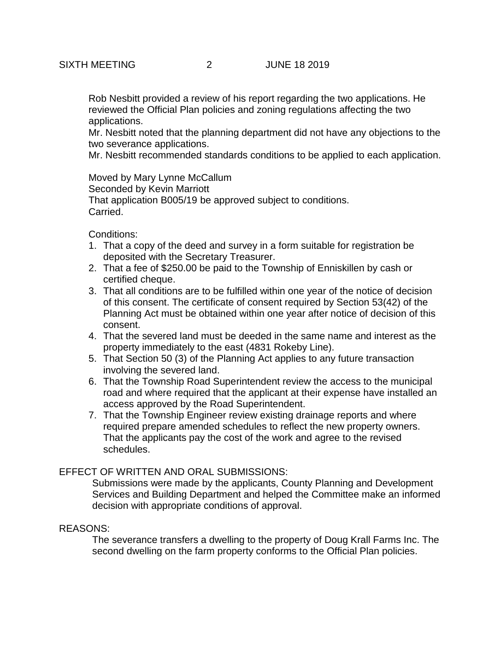Rob Nesbitt provided a review of his report regarding the two applications. He reviewed the Official Plan policies and zoning regulations affecting the two applications.

Mr. Nesbitt noted that the planning department did not have any objections to the two severance applications.

Mr. Nesbitt recommended standards conditions to be applied to each application.

Moved by Mary Lynne McCallum Seconded by Kevin Marriott That application B005/19 be approved subject to conditions. Carried.

Conditions:

- 1. That a copy of the deed and survey in a form suitable for registration be deposited with the Secretary Treasurer.
- 2. That a fee of \$250.00 be paid to the Township of Enniskillen by cash or certified cheque.
- 3. That all conditions are to be fulfilled within one year of the notice of decision of this consent. The certificate of consent required by Section 53(42) of the Planning Act must be obtained within one year after notice of decision of this consent.
- 4. That the severed land must be deeded in the same name and interest as the property immediately to the east (4831 Rokeby Line).
- 5. That Section 50 (3) of the Planning Act applies to any future transaction involving the severed land.
- 6. That the Township Road Superintendent review the access to the municipal road and where required that the applicant at their expense have installed an access approved by the Road Superintendent.
- 7. That the Township Engineer review existing drainage reports and where required prepare amended schedules to reflect the new property owners. That the applicants pay the cost of the work and agree to the revised schedules.

## EFFECT OF WRITTEN AND ORAL SUBMISSIONS:

Submissions were made by the applicants, County Planning and Development Services and Building Department and helped the Committee make an informed decision with appropriate conditions of approval.

#### REASONS:

The severance transfers a dwelling to the property of Doug Krall Farms Inc. The second dwelling on the farm property conforms to the Official Plan policies.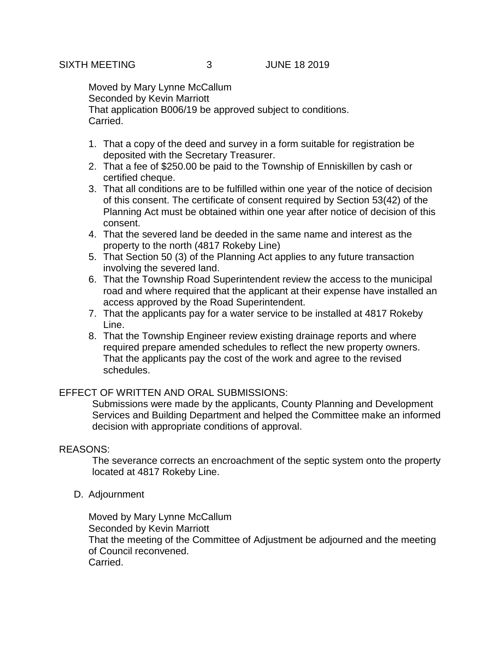Moved by Mary Lynne McCallum Seconded by Kevin Marriott That application B006/19 be approved subject to conditions. Carried.

- 1. That a copy of the deed and survey in a form suitable for registration be deposited with the Secretary Treasurer.
- 2. That a fee of \$250.00 be paid to the Township of Enniskillen by cash or certified cheque.
- 3. That all conditions are to be fulfilled within one year of the notice of decision of this consent. The certificate of consent required by Section 53(42) of the Planning Act must be obtained within one year after notice of decision of this consent.
- 4. That the severed land be deeded in the same name and interest as the property to the north (4817 Rokeby Line)
- 5. That Section 50 (3) of the Planning Act applies to any future transaction involving the severed land.
- 6. That the Township Road Superintendent review the access to the municipal road and where required that the applicant at their expense have installed an access approved by the Road Superintendent.
- 7. That the applicants pay for a water service to be installed at 4817 Rokeby Line.
- 8. That the Township Engineer review existing drainage reports and where required prepare amended schedules to reflect the new property owners. That the applicants pay the cost of the work and agree to the revised schedules.

## EFFECT OF WRITTEN AND ORAL SUBMISSIONS:

Submissions were made by the applicants, County Planning and Development Services and Building Department and helped the Committee make an informed decision with appropriate conditions of approval.

## REASONS:

The severance corrects an encroachment of the septic system onto the property located at 4817 Rokeby Line.

D. Adjournment

Moved by Mary Lynne McCallum Seconded by Kevin Marriott That the meeting of the Committee of Adjustment be adjourned and the meeting of Council reconvened. Carried.